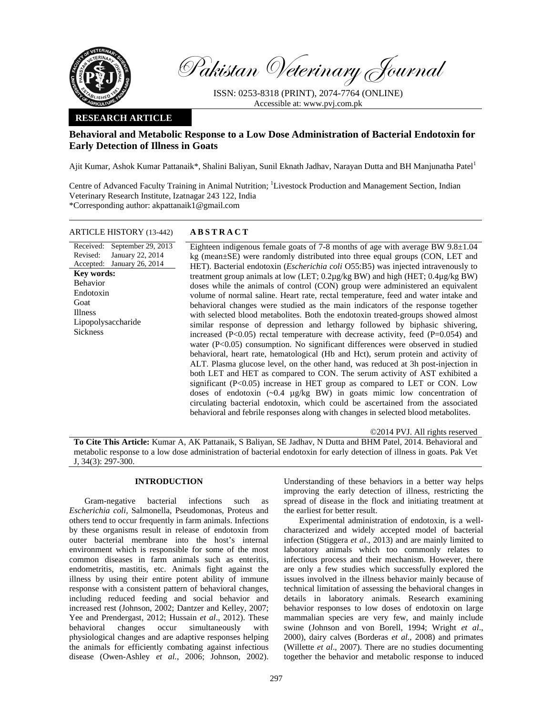

Pakistan Veterinary Journal

ISSN: 0253-8318 (PRINT), 2074-7764 (ONLINE) Accessible at: www.pvj.com.pk

## **RESEARCH ARTICLE**

# **Behavioral and Metabolic Response to a Low Dose Administration of Bacterial Endotoxin for Early Detection of Illness in Goats**

Ajit Kumar, Ashok Kumar Pattanaik\*, Shalini Baliyan, Sunil Eknath Jadhav, Narayan Dutta and BH Manjunatha Patel<sup>1</sup>

Centre of Advanced Faculty Training in Animal Nutrition; <sup>1</sup>Livestock Production and Management Section, Indian Veterinary Research Institute, Izatnagar 243 122, India \*Corresponding author: akpattanaik1@gmail.com

# ARTICLE HISTORY (13-442) **ABSTRACT**

Received: September 29, 2013 Revised: Accepted: January 26, 2014 January 22, 2014 **Key words:**  Behavior Endotoxin Goat Illness Lipopolysaccharide Sickness

Eighteen indigenous female goats of 7-8 months of  $\overline{age}$  with average BW 9.8 $\pm$ 1.04 kg (mean±SE) were randomly distributed into three equal groups (CON, LET and HET). Bacterial endotoxin (*Escherichia coli* O55:B5) was injected intravenously to treatment group animals at low (LET; 0.2µg/kg BW) and high (HET; 0.4µg/kg BW) doses while the animals of control (CON) group were administered an equivalent volume of normal saline. Heart rate, rectal temperature, feed and water intake and behavioral changes were studied as the main indicators of the response together with selected blood metabolites. Both the endotoxin treated-groups showed almost similar response of depression and lethargy followed by biphasic shivering, increased ( $P<0.05$ ) rectal temperature with decrease activity, feed ( $P=0.054$ ) and water (P<0.05) consumption. No significant differences were observed in studied behavioral, heart rate, hematological (Hb and Hct), serum protein and activity of ALT. Plasma glucose level, on the other hand, was reduced at 3h post-injection in both LET and HET as compared to CON. The serum activity of AST exhibited a significant (P<0.05) increase in HET group as compared to LET or CON. Low doses of endotoxin  $(\sim 0.4 \mu g/kg$  BW) in goats mimic low concentration of circulating bacterial endotoxin, which could be ascertained from the associated behavioral and febrile responses along with changes in selected blood metabolites.

©2014 PVJ. All rights reserved

**To Cite This Article:** Kumar A, AK Pattanaik, S Baliyan, SE Jadhav, N Dutta and BHM Patel, 2014. Behavioral and metabolic response to a low dose administration of bacterial endotoxin for early detection of illness in goats. Pak Vet J, 34(3): 297-300.

### **INTRODUCTION**

Gram-negative bacterial infections such as *Escherichia coli,* Salmonella, Pseudomonas, Proteus and others tend to occur frequently in farm animals. Infections by these organisms result in release of endotoxin from outer bacterial membrane into the host's internal environment which is responsible for some of the most common diseases in farm animals such as enteritis, endometritis, mastitis, etc. Animals fight against the illness by using their entire potent ability of immune response with a consistent pattern of behavioral changes, including reduced feeding and social behavior and increased rest (Johnson, 2002; Dantzer and Kelley, 2007; Yee and Prendergast, 2012; Hussain *et al*., 2012). These behavioral changes occur simultaneously with physiological changes and are adaptive responses helping the animals for efficiently combating against infectious disease (Owen-Ashley *et al.*, 2006; Johnson, 2002).

Understanding of these behaviors in a better way helps improving the early detection of illness, restricting the spread of disease in the flock and initiating treatment at the earliest for better result.

Experimental administration of endotoxin, is a wellcharacterized and widely accepted model of bacterial infection (Stiggera *et al*., 2013) and are mainly limited to laboratory animals which too commonly relates to infectious process and their mechanism. However, there are only a few studies which successfully explored the issues involved in the illness behavior mainly because of technical limitation of assessing the behavioral changes in details in laboratory animals. Research examining behavior responses to low doses of endotoxin on large mammalian species are very few, and mainly include swine (Johnson and von Borell, 1994; Wright *et al*., 2000), dairy calves (Borderas *et al.*, 2008) and primates (Willette *et al*., 2007). There are no studies documenting together the behavior and metabolic response to induced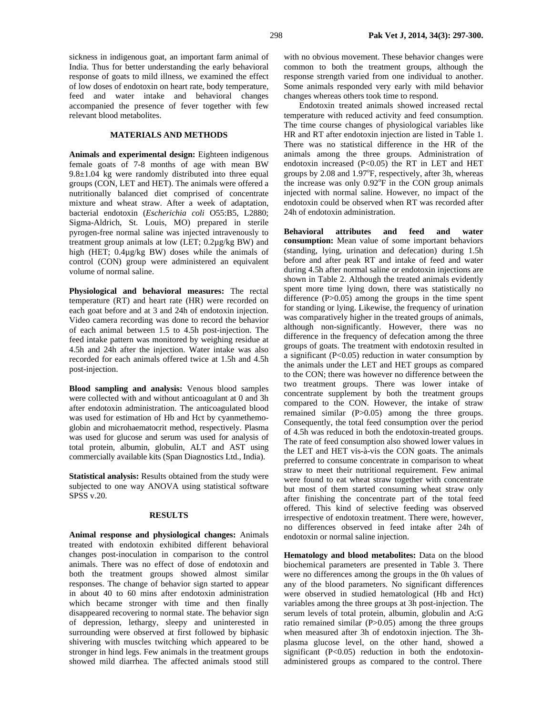sickness in indigenous goat, an important farm animal of India. Thus for better understanding the early behavioral response of goats to mild illness, we examined the effect of low doses of endotoxin on heart rate, body temperature, feed and water intake and behavioral changes accompanied the presence of fever together with few relevant blood metabolites.

### **MATERIALS AND METHODS**

**Animals and experimental design:** Eighteen indigenous female goats of 7-8 months of age with mean BW 9.8±1.04 kg were randomly distributed into three equal groups (CON, LET and HET). The animals were offered a nutritionally balanced diet comprised of concentrate mixture and wheat straw. After a week of adaptation, bacterial endotoxin (*Escherichia coli* O55:B5, L2880; Sigma-Aldrich, St. Louis, MO) prepared in sterile pyrogen-free normal saline was injected intravenously to treatment group animals at low (LET; 0.2µg/kg BW) and high (HET; 0.4µg/kg BW) doses while the animals of control (CON) group were administered an equivalent volume of normal saline.

**Physiological and behavioral measures:** The rectal temperature (RT) and heart rate (HR) were recorded on each goat before and at 3 and 24h of endotoxin injection. Video camera recording was done to record the behavior of each animal between 1.5 to 4.5h post-injection. The feed intake pattern was monitored by weighing residue at 4.5h and 24h after the injection. Water intake was also recorded for each animals offered twice at 1.5h and 4.5h post-injection.

**Blood sampling and analysis:** Venous blood samples were collected with and without anticoagulant at 0 and 3h after endotoxin administration. The anticoagulated blood was used for estimation of Hb and Hct by cyanmethemoglobin and microhaematocrit method, respectively. Plasma was used for glucose and serum was used for analysis of total protein, albumin, globulin, ALT and AST using commercially available kits (Span Diagnostics Ltd., India).

**Statistical analysis:** Results obtained from the study were subjected to one way ANOVA using statistical software SPSS v.20.

#### **RESULTS**

**Animal response and physiological changes:** Animals treated with endotoxin exhibited different behavioral changes post-inoculation in comparison to the control animals. There was no effect of dose of endotoxin and both the treatment groups showed almost similar responses. The change of behavior sign started to appear in about 40 to 60 mins after endotoxin administration which became stronger with time and then finally disappeared recovering to normal state. The behavior sign of depression, lethargy, sleepy and uninterested in surrounding were observed at first followed by biphasic shivering with muscles twitching which appeared to be stronger in hind legs. Few animals in the treatment groups showed mild diarrhea. The affected animals stood still

with no obvious movement. These behavior changes were common to both the treatment groups, although the response strength varied from one individual to another. Some animals responded very early with mild behavior changes whereas others took time to respond.

Endotoxin treated animals showed increased rectal temperature with reduced activity and feed consumption. The time course changes of physiological variables like HR and RT after endotoxin injection are listed in Table 1. There was no statistical difference in the HR of the animals among the three groups. Administration of endotoxin increased (P<0.05) the RT in LET and HET groups by 2.08 and 1.97°F, respectively, after 3h, whereas the increase was only  $0.92^{\circ}$ F in the CON group animals injected with normal saline. However, no impact of the endotoxin could be observed when RT was recorded after 24h of endotoxin administration.

**Behavioral attributes and feed and water consumption:** Mean value of some important behaviors (standing, lying, urination and defecation) during 1.5h before and after peak RT and intake of feed and water during 4.5h after normal saline or endotoxin injections are shown in Table 2. Although the treated animals evidently spent more time lying down, there was statistically no difference  $(P>0.05)$  among the groups in the time spent for standing or lying. Likewise, the frequency of urination was comparatively higher in the treated groups of animals, although non-significantly. However, there was no difference in the frequency of defecation among the three groups of goats. The treatment with endotoxin resulted in a significant (P<0.05) reduction in water consumption by the animals under the LET and HET groups as compared to the CON; there was however no difference between the two treatment groups. There was lower intake of concentrate supplement by both the treatment groups compared to the CON. However, the intake of straw remained similar (P>0.05) among the three groups. Consequently, the total feed consumption over the period of 4.5h was reduced in both the endotoxin-treated groups. The rate of feed consumption also showed lower values in the LET and HET vis-à-vis the CON goats. The animals preferred to consume concentrate in comparison to wheat straw to meet their nutritional requirement. Few animal were found to eat wheat straw together with concentrate but most of them started consuming wheat straw only after finishing the concentrate part of the total feed offered. This kind of selective feeding was observed irrespective of endotoxin treatment. There were, however, no differences observed in feed intake after 24h of endotoxin or normal saline injection.

**Hematology and blood metabolites:** Data on the blood biochemical parameters are presented in Table 3. There were no differences among the groups in the 0h values of any of the blood parameters. No significant differences were observed in studied hematological (Hb and Hct) variables among the three groups at 3h post-injection. The serum levels of total protein, albumin, globulin and A:G ratio remained similar  $(P>0.05)$  among the three groups when measured after 3h of endotoxin injection. The 3hplasma glucose level, on the other hand, showed a significant  $(P<0.05)$  reduction in both the endotoxinadministered groups as compared to the control. There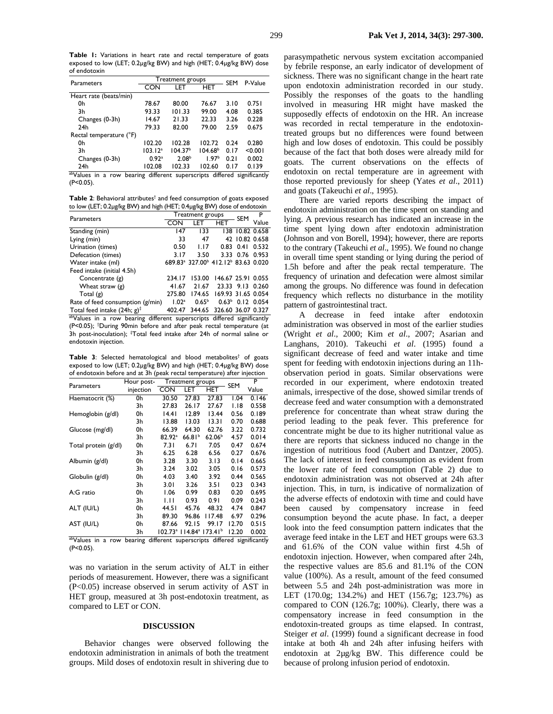**Table 1:** Variations in heart rate and rectal temperature of goats exposed to low (LET; 0.2µg/kg BW) and high (HET; 0.4µg/kg BW) dose of endotoxin

| Parameters                                                                                |                     | Treatment groups    | <b>SEM</b>          | P-Value |         |  |  |
|-------------------------------------------------------------------------------------------|---------------------|---------------------|---------------------|---------|---------|--|--|
|                                                                                           | CON                 | LET                 | <b>HET</b>          |         |         |  |  |
| Heart rate (beats/min)                                                                    |                     |                     |                     |         |         |  |  |
| 0h                                                                                        | 78.67               | 80.00               | 76.67               | 3.10    | 0.751   |  |  |
| 3h                                                                                        | 93.33               | 101.33              | 99.00               | 4.08    | 0.385   |  |  |
| Changes (0-3h)                                                                            | 14.67               | 21.33               | 22.33               | 3.26    | 0.228   |  |  |
| 24h                                                                                       | 79.33               | 82.00               | 79.00               | 2.59    | 0.675   |  |  |
| Rectal temperature (°F)                                                                   |                     |                     |                     |         |         |  |  |
| 0h                                                                                        | 102.20              | 102.28              | 102.72              | 0.24    | 0.280   |  |  |
| 3h                                                                                        | 103.12 <sup>a</sup> | 104.37 <sup>b</sup> | 104.68 <sup>b</sup> | 0.17    | < 0.001 |  |  |
| Changes (0-3h)                                                                            | 0.92 <sup>a</sup>   | 2.08 <sup>b</sup>   | 1.97 <sup>b</sup>   | 0.21    | 0.002   |  |  |
| 24h                                                                                       | 102.08              | 102.33              | 102.60              | 0.17    | 0.139   |  |  |
| <sup>ab</sup> Values<br>a row bearing different superscripts differed significantly<br>in |                     |                     |                     |         |         |  |  |

(P<0.05).

Table 2: Behavioral attributes<sup>†</sup> and feed consumption of goats exposed to low (LET; 0.2µg/kg BW) and high (HET; 0.4µg/kg BW) dose of endotoxin

|                                                       |                   |            | P                |                                                                                                                                                                                                                                                                  |
|-------------------------------------------------------|-------------------|------------|------------------|------------------------------------------------------------------------------------------------------------------------------------------------------------------------------------------------------------------------------------------------------------------|
| CON                                                   | LET               | <b>HET</b> |                  | Value                                                                                                                                                                                                                                                            |
| 147                                                   | 133               |            |                  |                                                                                                                                                                                                                                                                  |
| 33                                                    | 47                |            |                  |                                                                                                                                                                                                                                                                  |
| 0.50                                                  | 1.17              | 0.83       | 0.41             | 0.532                                                                                                                                                                                                                                                            |
| 3.17                                                  | 3.50              |            |                  |                                                                                                                                                                                                                                                                  |
|                                                       |                   |            |                  |                                                                                                                                                                                                                                                                  |
|                                                       |                   |            |                  |                                                                                                                                                                                                                                                                  |
| 234.17                                                | 153.00            |            |                  |                                                                                                                                                                                                                                                                  |
| 41.67                                                 | 21.67             |            |                  |                                                                                                                                                                                                                                                                  |
| 275.80                                                | 174.65            |            |                  |                                                                                                                                                                                                                                                                  |
| 1.02 <sup>a</sup><br>Rate of feed consumption (g/min) | 0.65 <sup>b</sup> |            |                  |                                                                                                                                                                                                                                                                  |
| 402.47                                                |                   |            |                  |                                                                                                                                                                                                                                                                  |
|                                                       |                   |            | Treatment groups | SEM<br>138 10.82 0.658<br>42 10.82 0.658<br>3.33 0.76 0.953<br>689.83 <sup>a</sup> 327.00 <sup>b</sup> 412.12 <sup>b</sup> 83.63 0.020<br>146.67 25.91 0.055<br>23.33 9.13 0.260<br>169.93 31.65 0.054<br>$0.63^{\circ}$ 0.12 0.054<br>344.65 326.60 36.07 0.327 |

abValues in a row bearing different superscripts differed significantly (P<0.05); † During 90min before and after peak rectal temperature (at 3h post-inoculation); <sup>‡</sup>Total feed intake after 24h of normal saline or endotoxin injection.

Table 3: Selected hematological and blood metabolites<sup>†</sup> of goats exposed to low (LET; 0.2µg/kg BW) and high (HET; 0.4µg/kg BW) dose of endotoxin before and at 3h (peak rectal temperature) after injection

|                      | Hour post- |                                               | Treatment groups |                                      |            | P     |
|----------------------|------------|-----------------------------------------------|------------------|--------------------------------------|------------|-------|
| Parameters           | injection  | CON                                           | LET              | HET                                  | <b>SEM</b> | Value |
| Haematocrit (%)      | 0h         | 30.50                                         | 27.83            | 27.83                                | 1.04       | 0.146 |
|                      | 3h         | 27.83                                         | 26.17            | 27.67                                | 1.18       | 0.558 |
| Hemoglobin (g/dl)    | 0h         | 14.41                                         | 12.89            | 13.44                                | 0.56       | 0.189 |
|                      | 3h         | 13.88                                         | 13.03            | 13.31                                | 0.70       | 0.688 |
| Glucose (mg/dl)      | 0h         | 66.39                                         | 64.30            | 62.76                                | 3.22       | 0.732 |
|                      | 3h         | 82.92 <sup>a</sup>                            | $66.81^{b}$      | 62.06 <sup>b</sup>                   | 4.57       | 0.014 |
| Total protein (g/dl) | 0h         | 7.31                                          | 6.7 I            | 7.05                                 | 0.47       | 0.674 |
|                      | 3h         | 6.25                                          | 6.28             | 6.56                                 | 0.27       | 0.676 |
| Albumin (g/dl)       | 0h         | 3.28                                          | 3.30             | 3.13                                 | 0.14       | 0.665 |
|                      | 3h         | 3.24                                          | 3.02             | 3.05                                 | 0.16       | 0.573 |
| Globulin (g/dl)      | 0h         | 4.03                                          | 3.40             | 3.92                                 | 0.44       | 0.565 |
|                      | 3h         | 3.01                                          | 3.26             | 3.51                                 | 0.23       | 0.343 |
| A:G ratio            | 0h         | 1.06                                          | 0.99             | 0.83                                 | 0.20       | 0.695 |
|                      | 3h         | ЫI                                            | 0.93             | 0.91                                 | 0.09       | 0.243 |
| ALT (IU/L)           | 0h         | 44.5 I                                        | 45.76            | 48.32                                | 4.74       | 0.847 |
|                      | 3h         | 89.30                                         | 96.86            | 117.48                               | 6.97       | 0.296 |
| AST (IU/L)           | 0h         | 87.66                                         | 92.15            | 99.I7                                | 12.70      | 0.515 |
|                      | 3h         | $102.73^{\circ}$                              |                  | $114.84^{\circ}$ 173.41 <sup>b</sup> | 12.20      | 0.002 |
| abValues in<br>a row | bearing    | different superscripts differed significantly |                  |                                      |            |       |

(P<0.05).

was no variation in the serum activity of ALT in either periods of measurement. However, there was a significant (P<0.05) increase observed in serum activity of AST in HET group, measured at 3h post-endotoxin treatment, as compared to LET or CON.

#### **DISCUSSION**

Behavior changes were observed following the endotoxin administration in animals of both the treatment groups. Mild doses of endotoxin result in shivering due to

parasympathetic nervous system excitation accompanied by febrile response, an early indicator of development of sickness. There was no significant change in the heart rate upon endotoxin administration recorded in our study. Possibly the responses of the goats to the handling involved in measuring HR might have masked the supposedly effects of endotoxin on the HR. An increase was recorded in rectal temperature in the endotoxintreated groups but no differences were found between high and low doses of endotoxin. This could be possibly because of the fact that both doses were already mild for goats. The current observations on the effects of endotoxin on rectal temperature are in agreement with those reported previously for sheep (Yates *et al*., 2011) and goats (Takeuchi *et al*., 1995).

There are varied reports describing the impact of endotoxin administration on the time spent on standing and lying. A previous research has indicated an increase in the time spent lying down after endotoxin administration (Johnson and von Borell, 1994); however, there are reports to the contrary (Takeuchi *et al*., 1995). We found no change in overall time spent standing or lying during the period of 1.5h before and after the peak rectal temperature. The frequency of urination and defecation were almost similar among the groups. No difference was found in defecation frequency which reflects no disturbance in the motility pattern of gastrointestinal tract.

A decrease in feed intake after endotoxin administration was observed in most of the earlier studies (Wright *et al*., 2000; Kim *et al*., 2007; Asarian and Langhans, 2010). Takeuchi *et al*. (1995) found a significant decrease of feed and water intake and time spent for feeding with endotoxin injections during an 11hobservation period in goats. Similar observations were recorded in our experiment, where endotoxin treated animals, irrespective of the dose, showed similar trends of decrease feed and water consumption with a demonstrated preference for concentrate than wheat straw during the period leading to the peak fever. This preference for concentrate might be due to its higher nutritional value as there are reports that sickness induced no change in the ingestion of nutritious food (Aubert and Dantzer, 2005). The lack of interest in feed consumption as evident from the lower rate of feed consumption (Table 2) due to endotoxin administration was not observed at 24h after injection. This, in turn, is indicative of normalization of the adverse effects of endotoxin with time and could have been caused by compensatory increase in feed consumption beyond the acute phase. In fact, a deeper look into the feed consumption pattern indicates that the average feed intake in the LET and HET groups were 63.3 and 61.6% of the CON value within first 4.5h of endotoxin injection. However, when compared after 24h, the respective values are 85.6 and 81.1% of the CON value (100%). As a result, amount of the feed consumed between 5.5 and 24h post-administration was more in LET (170.0g; 134.2%) and HET (156.7g; 123.7%) as compared to CON (126.7g; 100%). Clearly, there was a compensatory increase in feed consumption in the endotoxin-treated groups as time elapsed. In contrast, Steiger *et al*. (1999) found a significant decrease in food intake at both 4h and 24h after infusing heifers with endotoxin at 2µg/kg BW. This difference could be because of prolong infusion period of endotoxin.